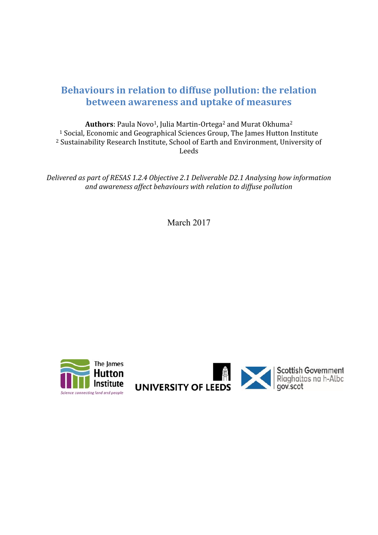# **Behaviours in relation to diffuse pollution: the relation between awareness and uptake of measures**

**Authors**: Paula Novo<sup>1</sup>, Julia Martin-Ortega<sup>2</sup> and Murat Okhuma<sup>2</sup> <sup>1</sup> Social, Economic and Geographical Sciences Group, The James Hutton Institute <sup>2</sup> Sustainability Research Institute, School of Earth and Environment, University of Leeds

*Delivered as part of RESAS 1.2.4 Objective 2.1 Deliverable D2.1 Analysing how information and awareness af ect behaviours with relation to dif use pollution*

March 2017



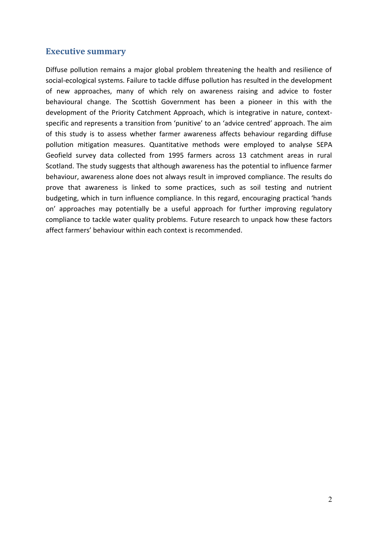# <span id="page-1-0"></span>**Executive summary**

Diffuse pollution remains a major global problem threatening the health and resilience of social-ecological systems. Failure to tackle diffuse pollution has resulted in the development of new approaches, many of which rely on awareness raising and advice to foster behavioural change. The Scottish Government has been a pioneer in this with the development of the Priority Catchment Approach, which is integrative in nature, contextspecific and represents a transition from 'punitive' to an 'advice centred' approach. The aim of this study is to assess whether farmer awareness affects behaviour regarding diffuse pollution mitigation measures. Quantitative methods were employed to analyse SEPA Geofield survey data collected from 1995 farmers across 13 catchment areas in rural Scotland. The study suggests that although awareness has the potential to influence farmer behaviour, awareness alone does not always result in improved compliance. The results do prove that awareness is linked to some practices, such as soil testing and nutrient budgeting, which in turn influence compliance. In this regard, encouraging practical 'hands on' approaches may potentially be a useful approach for further improving regulatory compliance to tackle water quality problems. Future research to unpack how these factors affect farmers' behaviour within each context is recommended.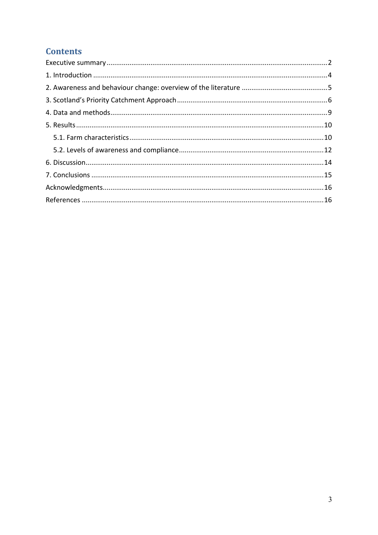# **Contents**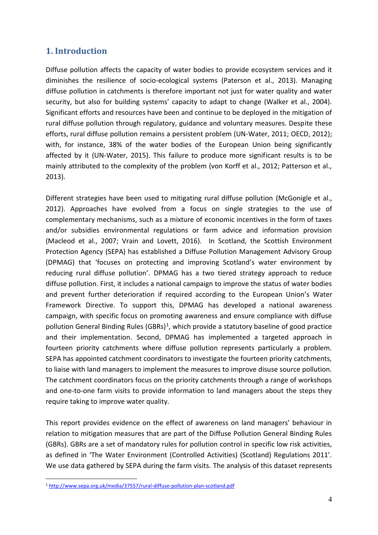# <span id="page-3-0"></span>**1. Introduction**

Diffuse pollution affects the capacity of water bodies to provide ecosystem services and it diminishes the resilience of socio-ecological systems (Paterson et al., 2013). Managing diffuse pollution in catchments is therefore important not just for water quality and water security, but also for building systems' capacity to adapt to change (Walker et al., 2004). Significant efforts and resources have been and continue to be deployed in the mitigation of rural diffuse pollution through regulatory, guidance and voluntary measures. Despite these efforts, rural diffuse pollution remains a persistent problem (UN-Water, 2011; OECD, 2012); with, for instance, 38% of the water bodies of the European Union being significantly affected by it (UN-Water, 2015). This failure to produce more significant results is to be mainly attributed to the complexity of the problem (von Korff et al., 2012; Patterson et al., 2013).

Different strategies have been used to mitigating rural diffuse pollution (McGonigle et al., 2012). Approaches have evolved from a focus on single strategies to the use of complementary mechanisms, such as a mixture of economic incentives in the form of taxes and/or subsidies environmental regulations or farm advice and information provision (Macleod et al., 2007; Vrain and Lovett, 2016). In Scotland, the Scottish Environment Protection Agency (SEPA) has established a Diffuse Pollution Management Advisory Group (DPMAG) that 'focuses on protecting and improving Scotland's water environment by reducing rural diffuse pollution'. DPMAG has a two tiered strategy approach to reduce diffuse pollution. First, it includes a national campaign to improve the status of water bodies and prevent further deterioration if required according to the European Union's Water Framework Directive. To support this, DPMAG has developed a national awareness campaign, with specific focus on promoting awareness and ensure compliance with diffuse pollution General Binding Rules (GBRs)<sup>1</sup>, which provide a statutory baseline of good practice and their implementation. Second, DPMAG has implemented a targeted approach in fourteen priority catchments where diffuse pollution represents particularly a problem. SEPA has appointed catchment coordinators to investigate the fourteen priority catchments, to liaise with land managers to implement the measures to improve disuse source pollution. The catchment coordinators focus on the priority catchments through a range of workshops and one-to-one farm visits to provide information to land managers about the steps they require taking to improve water quality.

This report provides evidence on the effect of awareness on land managers' behaviour in relation to mitigation measures that are part of the Diffuse Pollution General Binding Rules (GBRs). GBRs are a set of mandatory rules for pollution control in specific low risk activities, as defined in 'The Water Environment (Controlled Activities) (Scotland) Regulations 2011'. We use data gathered by SEPA during the farm visits. The analysis of this dataset represents

<sup>1</sup> <http://www.sepa.org.uk/media/37557/rural-diffuse-pollution-plan-scotland.pdf>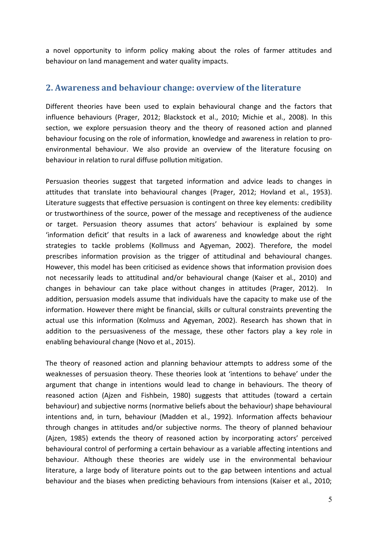a novel opportunity to inform policy making about the roles of farmer attitudes and behaviour on land management and water quality impacts.

#### <span id="page-4-0"></span>**2. Awareness and behaviour change: overview of the literature**

Different theories have been used to explain behavioural change and the factors that influence behaviours (Prager, 2012; Blackstock et al., 2010; Michie et al., 2008). In this section, we explore persuasion theory and the theory of reasoned action and planned behaviour focusing on the role of information, knowledge and awareness in relation to pro environmental behaviour. We also provide an overview of the literature focusing on behaviour in relation to rural diffuse pollution mitigation.

Persuasion theories suggest that targeted information and advice leads to changes in attitudes that translate into behavioural changes (Prager, 2012; Hovland et al., 1953). Literature suggests that effective persuasion is contingent on three key elements: credibility or trustworthiness of the source, power of the message and receptiveness of the audience or target. Persuasion theory assumes that actors' behaviour is explained by some 'information deficit' that results in a lack of awareness and knowledge about the right strategies to tackle problems (Kollmuss and Agyeman, 2002). Therefore, the model prescribes information provision as the trigger of attitudinal and behavioural changes. However, this model has been criticised as evidence shows that information provision does not necessarily leads to attitudinal and/or behavioural change (Kaiser et al., 2010) and changes in behaviour can take place without changes in attitudes (Prager, 2012). In addition, persuasion models assume that individuals have the capacity to make use of the information. However there might be financial, skills or cultural constraints preventing the actual use this information (Kolmuss and Agyeman, 2002). Research has shown that in addition to the persuasiveness of the message, these other factors play a key role in enabling behavioural change (Novo et al., 2015).

The theory of reasoned action and planning behaviour attempts to address some of the weaknesses of persuasion theory. These theories look at 'intentions to behave' under the argument that change in intentions would lead to change in behaviours. The theory of reasoned action (Ajzen and Fishbein, 1980) suggests that attitudes (toward a certain behaviour) and subjective norms (normative beliefs about the behaviour) shape behavioural intentions and, in turn, behaviour (Madden et al., 1992). Information affects behaviour through changes in attitudes and/or subjective norms. The theory of planned behaviour (Ajzen, 1985) extends the theory of reasoned action by incorporating actors' perceived behavioural control of performing a certain behaviour as a variable affecting intentions and behaviour. Although these theories are widely use in the environmental behaviour literature, a large body of literature points out to the gap between intentions and actual behaviour and the biases when predicting behaviours from intensions (Kaiser et al., 2010;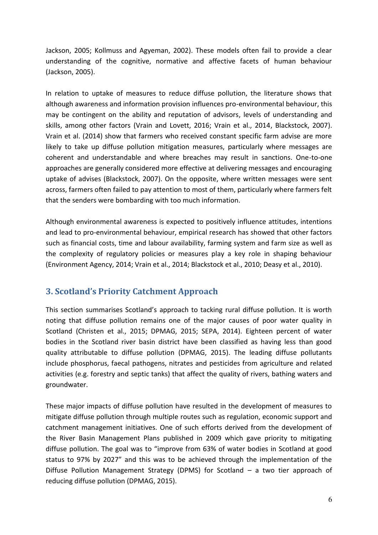Jackson, 2005; Kollmuss and Agyeman, 2002). These models often fail to provide a clear understanding of the cognitive, normative and affective facets of human behaviour (Jackson, 2005).

In relation to uptake of measures to reduce diffuse pollution, the literature shows that although awareness and information provision influences pro-environmental behaviour, this may be contingent on the ability and reputation of advisors, levels of understanding and skills, among other factors (Vrain and Lovett, 2016; Vrain et al., 2014, Blackstock, 2007). Vrain et al. (2014) show that farmers who received constant specific farm advise are more likely to take up diffuse pollution mitigation measures, particularly where messages are coherent and understandable and where breaches may result in sanctions. One-to-one approaches are generally considered more effective at delivering messages and encouraging uptake of advises (Blackstock, 2007). On the opposite, where written messages were sent across, farmers often failed to pay attention to most of them, particularly where farmers felt that the senders were bombarding with too much information.

Although environmental awareness is expected to positively influence attitudes, intentions and lead to pro-environmental behaviour, empirical research has showed that other factors such as financial costs, time and labour availability, farming system and farm size as well as the complexity of regulatory policies or measures play a key role in shaping behaviour (Environment Agency, 2014; Vrain et al., 2014; Blackstock et al., 2010; Deasy et al., 2010).

# <span id="page-5-0"></span>**3. Scotland's Priority Catchment Approach**

This section summarises Scotland's approach to tacking rural diffuse pollution. It is worth noting that diffuse pollution remains one of the major causes of poor water quality in Scotland (Christen et al., 2015; DPMAG, 2015; SEPA, 2014). Eighteen percent of water bodies in the Scotland river basin district have been classified as having less than good quality attributable to diffuse pollution (DPMAG, 2015). The leading diffuse pollutants include phosphorus, faecal pathogens, nitrates and pesticides from agriculture and related activities (e.g. forestry and septic tanks) that affect the quality of rivers, bathing waters and groundwater.

These major impacts of diffuse pollution have resulted in the development of measures to mitigate diffuse pollution through multiple routes such as regulation, economic support and catchment management initiatives. One of such efforts derived from the development of the River Basin Management Plans published in 2009 which gave priority to mitigating diffuse pollution. The goal was to "improve from 63% of water bodies in Scotland at good status to 97% by 2027" and this was to be achieved through the implementation of the Diffuse Pollution Management Strategy (DPMS) for Scotland – a two tier approach of reducing diffuse pollution (DPMAG, 2015).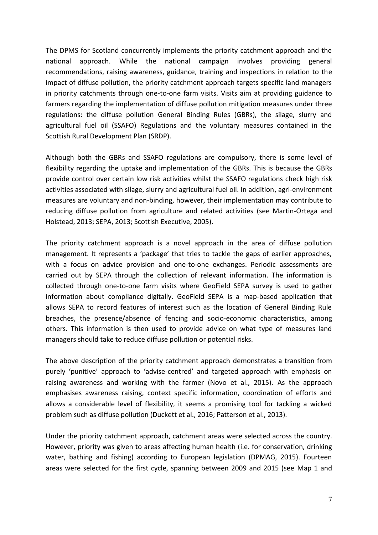The DPMS for Scotland concurrently implements the priority catchment approach and the national approach. While the national campaign involves providing general recommendations, raising awareness, guidance, training and inspections in relation to the impact of diffuse pollution, the priority catchment approach targets specific land managers in priority catchments through one-to-one farm visits. Visits aim at providing guidance to farmers regarding the implementation of diffuse pollution mitigation measures under three regulations: the diffuse pollution General Binding Rules (GBRs), the silage, slurry and agricultural fuel oil (SSAFO) Regulations and the voluntary measures contained in the Scottish Rural Development Plan (SRDP).

Although both the GBRs and SSAFO regulations are compulsory, there is some level of flexibility regarding the uptake and implementation of the GBRs. This is because the GBRs provide control over certain low risk activities whilst the SSAFO regulations check high risk activities associated with silage, slurry and agricultural fuel oil. In addition, agri-environment measures are voluntary and non-binding, however, their implementation may contribute to reducing diffuse pollution from agriculture and related activities (see Martin-Ortega and Holstead, 2013; SEPA, 2013; Scottish Executive, 2005).

The priority catchment approach is a novel approach in the area of diffuse pollution management. It represents a 'package' that tries to tackle the gaps of earlier approaches, with a focus on advice provision and one-to-one exchanges. Periodic assessments are carried out by SEPA through the collection of relevant information. The information is collected through one-to-one farm visits where GeoField SEPA survey is used to gather information about compliance digitally. GeoField SEPA is a map-based application that allows SEPA to record features of interest such as the location of General Binding Rule breaches, the presence/absence of fencing and socio-economic characteristics, among others. This information is then used to provide advice on what type of measures land managers should take to reduce diffuse pollution or potential risks.

The above description of the priority catchment approach demonstrates a transition from purely 'punitive' approach to 'advise-centred' and targeted approach with emphasis on raising awareness and working with the farmer (Novo et al., 2015). As the approach emphasises awareness raising, context specific information, coordination of efforts and allows a considerable level of flexibility, it seems a promising tool for tackling a wicked problem such as diffuse pollution (Duckett et al., 2016; Patterson et al., 2013).

Under the priority catchment approach, catchment areas were selected across the country. However, priority was given to areas affecting human health (i.e. for conservation, drinking water, bathing and fishing) according to European legislation (DPMAG, 2015). Fourteen areas were selected for the first cycle, spanning between 2009 and 2015 (see Map 1 and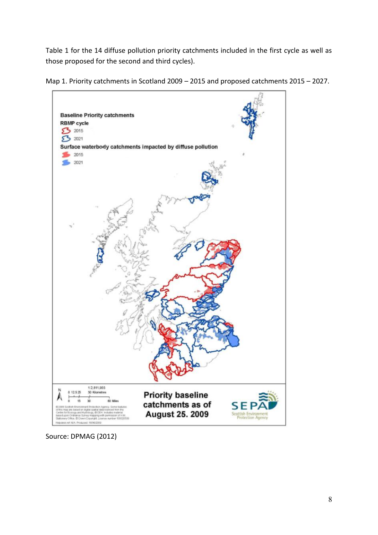Table 1 for the 14 diffuse pollution priority catchments included in the first cycle as well as those proposed for the second and third cycles).





Source: DPMAG (2012)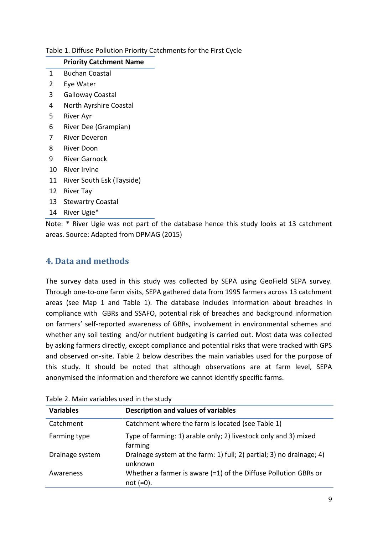#### Table 1. Diffuse Pollution Priority Catchments for the First Cycle

#### **Priority Catchment Name**

- 1 Buchan Coastal
- 2 Eye Water
- 3 Galloway Coastal
- 4 North Ayrshire Coastal
- 5 River Ayr
- 6 River Dee (Grampian)
- 7 River Deveron
- 8 River Doon
- 9 River Garnock
- 10 River Irvine
- 11 River South Esk (Tayside)
- 12 River Tay
- 13 Stewartry Coastal
- 14 River Ugie\*

Note: \* River Ugie was not part of the database hence this study looks at 13 catchment areas. Source: Adapted from DPMAG (2015)

# <span id="page-8-0"></span>**4. Data and methods**

The survey data used in this study was collected by SEPA using GeoField SEPA survey. Through one-to-one farm visits, SEPA gathered data from 1995 farmers across 13 catchment areas (see Map 1 and Table 1). The database includes information about breaches in compliance with GBRs and SSAFO, potential risk of breaches and background information on farmers' self-reported awareness of GBRs, involvement in environmental schemes and whether any soil testing and/or nutrient budgeting is carried out. Most data was collected by asking farmers directly, except compliance and potential risks that were tracked with GPS and observed on-site. Table 2 below describes the main variables used for the purpose of this study. It should be noted that although observations are at farm level, SEPA anonymised the information and therefore we cannot identify specific farms.

| 1800                                                           |                                                                                   |  |  |  |
|----------------------------------------------------------------|-----------------------------------------------------------------------------------|--|--|--|
| <b>Variables</b><br><b>Description and values of variables</b> |                                                                                   |  |  |  |
| Catchment                                                      | Catchment where the farm is located (see Table 1)                                 |  |  |  |
| Farming type                                                   | Type of farming: 1) arable only; 2) livestock only and 3) mixed<br>farming        |  |  |  |
| Drainage system                                                | Drainage system at the farm: 1) full; 2) partial; 3) no drainage; 4)<br>unknown   |  |  |  |
| Awareness                                                      | Whether a farmer is aware $(=1)$ of the Diffuse Pollution GBRs or<br>not $(=0)$ . |  |  |  |

Table 2. Main variables used in the study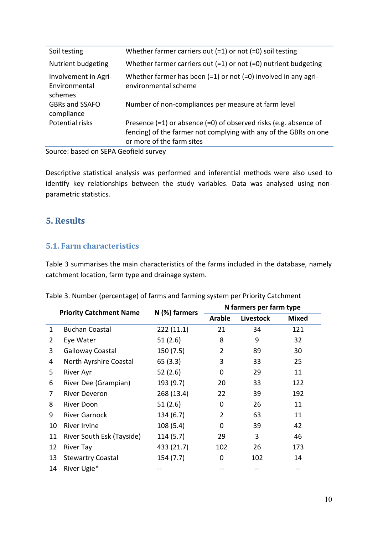| Soil testing                                     | Whether farmer carriers out $(=1)$ or not $(=0)$ soil testing                                                                                                         |
|--------------------------------------------------|-----------------------------------------------------------------------------------------------------------------------------------------------------------------------|
| Nutrient budgeting                               | Whether farmer carriers out $(=1)$ or not $(=0)$ nutrient budgeting                                                                                                   |
| Involvement in Agri-<br>Environmental<br>schemes | Whether farmer has been $(=1)$ or not $(=0)$ involved in any agri-<br>environmental scheme                                                                            |
| GBRs and SSAFO<br>compliance                     | Number of non-compliances per measure at farm level                                                                                                                   |
| Potential risks                                  | Presence $(=1)$ or absence $(=0)$ of observed risks (e.g. absence of<br>fencing) of the farmer not complying with any of the GBRs on one<br>or more of the farm sites |

Source: based on SEPA Geofield survey

Descriptive statistical analysis was performed and inferential methods were also used to identify key relationships between the study variables. Data was analysed using non parametric statistics.

# <span id="page-9-0"></span>**5. Results**

## <span id="page-9-1"></span>**5.1. Farm characteristics**

Table 3 summarises the main characteristics of the farms included in the database, namely catchment location, farm type and drainage system.

|                | <b>Priority Catchment Name</b> | N (%) farmers | N farmers per farm type |           |              |
|----------------|--------------------------------|---------------|-------------------------|-----------|--------------|
|                |                                |               | <b>Arable</b>           | Livestock | <b>Mixed</b> |
| 1              | <b>Buchan Coastal</b>          | 222(11.1)     | 21                      | 34        | 121          |
| $\overline{2}$ | Eye Water                      | 51(2.6)       | 8                       | 9         | 32           |
| 3              | <b>Galloway Coastal</b>        | 150(7.5)      | $\overline{2}$          | 89        | 30           |
| 4              | North Ayrshire Coastal         | 65(3.3)       | 3                       | 33        | 25           |
| 5              | River Ayr                      | 52(2.6)       | 0                       | 29        | 11           |
| 6              | River Dee (Grampian)           | 193 (9.7)     | 20                      | 33        | 122          |
| 7              | River Deveron                  | 268 (13.4)    | 22                      | 39        | 192          |
| 8              | <b>River Doon</b>              | 51(2.6)       | 0                       | 26        | 11           |
| 9              | <b>River Garnock</b>           | 134(6.7)      | $\overline{2}$          | 63        | 11           |
| 10             | <b>River Irvine</b>            | 108(5.4)      | 0                       | 39        | 42           |
| 11             | River South Esk (Tayside)      | 114(5.7)      | 29                      | 3         | 46           |
| 12             | <b>River Tay</b>               | 433 (21.7)    | 102                     | 26        | 173          |
| 13             | <b>Stewartry Coastal</b>       | 154(7.7)      | $\mathbf 0$             | 102       | 14           |
| 14             | River Ugie*                    |               |                         |           |              |

| Table 3. Number (percentage) of farms and farming system per Priority Catchment |  |
|---------------------------------------------------------------------------------|--|
|---------------------------------------------------------------------------------|--|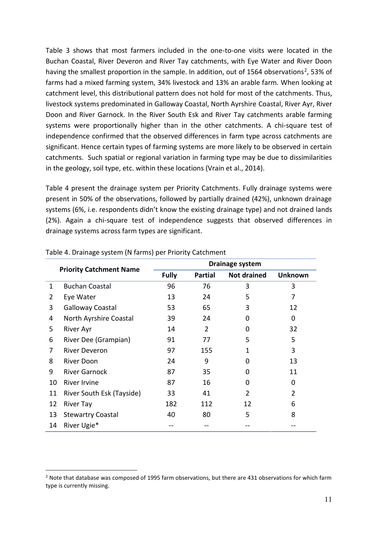Table 3 shows that most farmers included in the one-to-one visits were located in the Buchan Coastal, River Deveron and River Tay catchments, with Eye Water and River Doon having the smallest proportion in the sample. In addition, out of 1564 observations<sup>2</sup>, 53% of farms had a mixed farming system, 34% livestock and 13% an arable farm. When looking at catchment level, this distributional pattern does not hold for most of the catchments. Thus, livestock systems predominated in Galloway Coastal, North Ayrshire Coastal, River Ayr, River Doon and River Garnock. In the River South Esk and River Tay catchments arable farming systems were proportionally higher than in the other catchments. A chi-square test of independence confirmed that the observed differences in farm type across catchments are significant. Hence certain types of farming systems are more likely to be observed in certain catchments. Such spatial or regional variation in farming type may be due to dissimilarities in the geology, soil type, etc. within these locations (Vrain et al., 2014).

Table 4 present the drainage system per Priority Catchments. Fully drainage systems were present in 50% of the observations, followed by partially drained (42%), unknown drainage systems (6%, i.e. respondents didn't know the existing drainage type) and not drained lands (2%). Again a chi-square test of independence suggests that observed differences in drainage systems across farm types are significant.

|    | <b>Priority Catchment Name</b> | <b>Drainage system</b> |                |                    |                |
|----|--------------------------------|------------------------|----------------|--------------------|----------------|
|    |                                | <b>Fully</b>           | <b>Partial</b> | <b>Not drained</b> | <b>Unknown</b> |
| 1  | <b>Buchan Coastal</b>          | 96                     | 76             | 3                  | 3              |
| 2  | Eye Water                      | 13                     | 24             | 5                  | 7              |
| 3  | Galloway Coastal               | 53                     | 65             | 3                  | 12             |
| 4  | North Ayrshire Coastal         | 39                     | 24             | 0                  | 0              |
| 5  | <b>River Ayr</b>               | 14                     | 2              | 0                  | 32             |
| 6  | River Dee (Grampian)           | 91                     | 77             | 5                  | 5              |
| 7  | <b>River Deveron</b>           | 97                     | 155            | 1                  | 3              |
| 8  | <b>River Doon</b>              | 24                     | 9              | ი                  | 13             |
| 9  | <b>River Garnock</b>           | 87                     | 35             | O                  | 11             |
| 10 | <b>River Irvine</b>            | 87                     | 16             | ი                  | 0              |
| 11 | River South Esk (Tayside)      | 33                     | 41             | $\overline{2}$     | 2              |
| 12 | <b>River Tay</b>               | 182                    | 112            | 12                 | 6              |
| 13 | <b>Stewartry Coastal</b>       | 40                     | 80             | 5                  | 8              |
| 14 | River Ugie*                    |                        |                |                    |                |

#### Table 4. Drainage system (N farms) per Priority Catchment

<sup>&</sup>lt;sup>2</sup> Note that database was composed of 1995 farm observations, but there are 431 observations for which farm type is currently missing.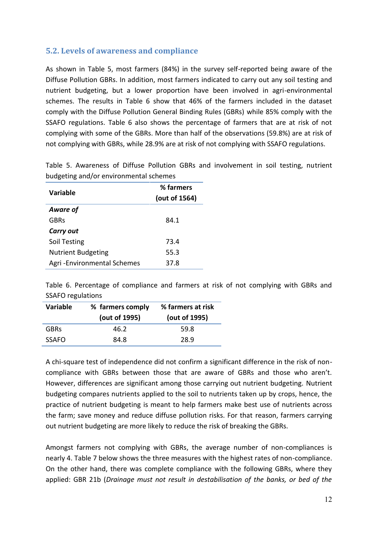## <span id="page-11-0"></span>**5.2. Levels of awareness and compliance**

As shown in Table 5, most farmers (84%) in the survey self-reported being aware of the Diffuse Pollution GBRs. In addition, most farmers indicated to carry out any soil testing and nutrient budgeting, but a lower proportion have been involved in agri-environmental schemes. The results in Table 6 show that 46% of the farmers included in the dataset comply with the Diffuse Pollution General Binding Rules (GBRs) while 85% comply with the SSAFO regulations. Table 6 also shows the percentage of farmers that are at risk of not complying with some of the GBRs. More than half of the observations (59.8%) are at risk of not complying with GBRs, while 28.9% are at risk of not complying with SSAFO regulations.

|                            | % farmers<br>(out of 1564) |  |
|----------------------------|----------------------------|--|
| <b>Variable</b>            |                            |  |
| Aware of                   |                            |  |
| <b>GBRs</b>                | 84.1                       |  |
| <b>Carry out</b>           |                            |  |
| Soil Testing               | 73.4                       |  |
| <b>Nutrient Budgeting</b>  | 55.3                       |  |
| Agri-Environmental Schemes | 37.8                       |  |

Table 5. Awareness of Diffuse Pollution GBRs and involvement in soil testing, nutrient budgeting and/or environmental schemes

Table 6. Percentage of compliance and farmers at risk of not complying with GBRs and SSAFO regulations

| Variable     | % farmers comply<br>(out of 1995) | % farmers at risk<br>(out of 1995) |
|--------------|-----------------------------------|------------------------------------|
| <b>GBRs</b>  | 46.2                              | 59.8                               |
| <b>SSAFO</b> | 84.8                              | 28.9                               |

A chi-square test of independence did not confirm a significant difference in the risk of noncompliance with GBRs between those that are aware of GBRs and those who aren't. However, differences are significant among those carrying out nutrient budgeting. Nutrient budgeting compares nutrients applied to the soil to nutrients taken up by crops, hence, the practice of nutrient budgeting is meant to help farmers make best use of nutrients across the farm; save money and reduce diffuse pollution risks. For that reason, farmers carrying out nutrient budgeting are more likely to reduce the risk of breaking the GBRs.

Amongst farmers not complying with GBRs, the average number of non-compliances is nearly 4. Table 7 below shows the three measures with the highest rates of non-compliance. On the other hand, there was complete compliance with the following GBRs, where they applied: GBR 21b (*Drainage must not result in destabilisation of the banks, or bed of the*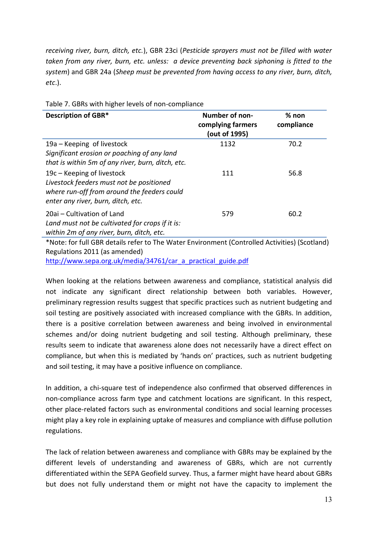*receiving river, burn, ditch, etc.*), GBR 23ci (*Pesticide sprayers must not be filled with water taken from any river, burn, etc. unless: a device preventing back siphoning is fitted to the system*) and GBR 24a (*Sheep must be prevented from having access to any river, burn, ditch, etc*.).

| <b>Description of GBR*</b>                                                                                                                                  | Number of non-<br>complying farmers<br>(out of 1995) | $%$ non<br>compliance |
|-------------------------------------------------------------------------------------------------------------------------------------------------------------|------------------------------------------------------|-----------------------|
| 19a – Keeping of livestock<br>Significant erosion or poaching of any land<br>that is within 5m of any river, burn, ditch, etc.                              | 1132                                                 | 70.2                  |
| 19c – Keeping of livestock<br>Livestock feeders must not be positioned<br>where run-off from around the feeders could<br>enter any river, burn, ditch, etc. | 111                                                  | 56.8                  |
| 20ai - Cultivation of Land<br>Land must not be cultivated for crops if it is:<br>within 2m of any river, burn, ditch, etc.                                  | 579                                                  | 60.2                  |

Table 7. GBRs with higher levels of non-compliance

\*Note: for full GBR details refer to The Water Environment (Controlled Activities) (Scotland) Regulations 2011 (as amended)

[http://www.sepa.org.uk/media/34761/car\\_a\\_practical\\_guide.pdf](http://www.sepa.org.uk/media/34761/car_a_practical_guide.pdf)

When looking at the relations between awareness and compliance, statistical analysis did not indicate any significant direct relationship between both variables. However, preliminary regression results suggest that specific practices such as nutrient budgeting and soil testing are positively associated with increased compliance with the GBRs. In addition, there is a positive correlation between awareness and being involved in environmental schemes and/or doing nutrient budgeting and soil testing. Although preliminary, these results seem to indicate that awareness alone does not necessarily have a direct effect on compliance, but when this is mediated by 'hands on' practices, such as nutrient budgeting and soil testing, it may have a positive influence on compliance.

In addition, a chi-square test of independence also confirmed that observed differences in non-compliance across farm type and catchment locations are significant. In this respect, other place-related factors such as environmental conditions and social learning processes might play a key role in explaining uptake of measures and compliance with diffuse pollution regulations.

The lack of relation between awareness and compliance with GBRs may be explained by the different levels of understanding and awareness of GBRs, which are not currently differentiated within the SEPA Geofield survey. Thus, a farmer might have heard about GBRs but does not fully understand them or might not have the capacity to implement the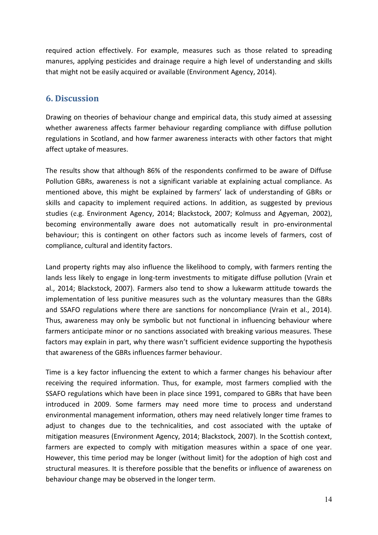required action effectively. For example, measures such as those related to spreading manures, applying pesticides and drainage require a high level of understanding and skills that might not be easily acquired or available (Environment Agency, 2014).

# <span id="page-13-0"></span>**6. Discussion**

Drawing on theories of behaviour change and empirical data, this study aimed at assessing whether awareness affects farmer behaviour regarding compliance with diffuse pollution regulations in Scotland, and how farmer awareness interacts with other factors that might affect uptake of measures.

The results show that although 86% of the respondents confirmed to be aware of Diffuse Pollution GBRs, awareness is not a significant variable at explaining actual compliance. As mentioned above, this might be explained by farmers' lack of understanding of GBRs or skills and capacity to implement required actions. In addition, as suggested by previous studies (e.g. Environment Agency, 2014; Blackstock, 2007; Kolmuss and Agyeman, 2002), becoming environmentally aware does not automatically result in pro-environmental behaviour; this is contingent on other factors such as income levels of farmers, cost of compliance, cultural and identity factors.

Land property rights may also influence the likelihood to comply, with farmers renting the lands less likely to engage in long-term investments to mitigate diffuse pollution (Vrain et al., 2014; Blackstock, 2007). Farmers also tend to show a lukewarm attitude towards the implementation of less punitive measures such as the voluntary measures than the GBRs and SSAFO regulations where there are sanctions for noncompliance (Vrain et al., 2014). Thus, awareness may only be symbolic but not functional in influencing behaviour where farmers anticipate minor or no sanctions associated with breaking various measures. These factors may explain in part, why there wasn't sufficient evidence supporting the hypothesis that awareness of the GBRs influences farmer behaviour.

Time is a key factor influencing the extent to which a farmer changes his behaviour after receiving the required information. Thus, for example, most farmers complied with the SSAFO regulations which have been in place since 1991, compared to GBRs that have been introduced in 2009. Some farmers may need more time to process and understand environmental management information, others may need relatively longer time frames to adjust to changes due to the technicalities, and cost associated with the uptake of mitigation measures (Environment Agency, 2014; Blackstock, 2007). In the Scottish context, farmers are expected to comply with mitigation measures within a space of one year. However, this time period may be longer (without limit) for the adoption of high cost and structural measures. It is therefore possible that the benefits or influence of awareness on behaviour change may be observed in the longer term.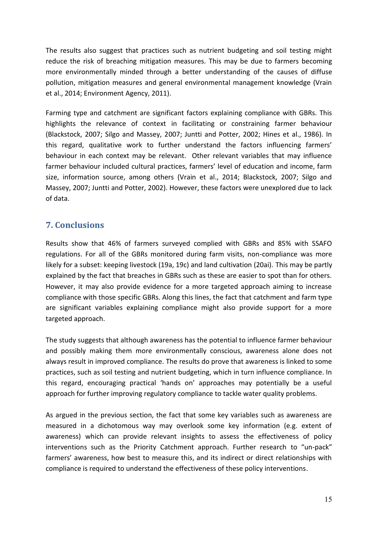The results also suggest that practices such as nutrient budgeting and soil testing might reduce the risk of breaching mitigation measures. This may be due to farmers becoming more environmentally minded through a better understanding of the causes of diffuse pollution, mitigation measures and general environmental management knowledge (Vrain et al., 2014; Environment Agency, 2011).

Farming type and catchment are significant factors explaining compliance with GBRs. This highlights the relevance of context in facilitating or constraining farmer behaviour (Blackstock, 2007; Silgo and Massey, 2007; Juntti and Potter, 2002; Hines et al., 1986). In this regard, qualitative work to further understand the factors influencing farmers' behaviour in each context may be relevant. Other relevant variables that may influence farmer behaviour included cultural practices, farmers' level of education and income, farm size, information source, among others (Vrain et al., 2014; Blackstock, 2007; Silgo and Massey, 2007; Juntti and Potter, 2002). However, these factors were unexplored due to lack of data.

# <span id="page-14-0"></span>**7. Conclusions**

Results show that 46% of farmers surveyed complied with GBRs and 85% with SSAFO regulations. For all of the GBRs monitored during farm visits, non-compliance was more likely for a subset: keeping livestock (19a, 19c) and land cultivation (20ai). This may be partly explained by the fact that breaches in GBRs such as these are easier to spot than for others. However, it may also provide evidence for a more targeted approach aiming to increase compliance with those specific GBRs. Along this lines, the fact that catchment and farm type are significant variables explaining compliance might also provide support for a more targeted approach.

The study suggests that although awareness has the potential to influence farmer behaviour and possibly making them more environmentally conscious, awareness alone does not always result in improved compliance. The results do prove that awareness is linked to some practices, such as soil testing and nutrient budgeting, which in turn influence compliance. In this regard, encouraging practical 'hands on' approaches may potentially be a useful approach for further improving regulatory compliance to tackle water quality problems.

As argued in the previous section, the fact that some key variables such as awareness are measured in a dichotomous way may overlook some key information (e.g. extent of awareness) which can provide relevant insights to assess the effectiveness of policy interventions such as the Priority Catchment approach. Further research to "un-pack" farmers' awareness, how best to measure this, and its indirect or direct relationships with compliance is required to understand the effectiveness of these policy interventions.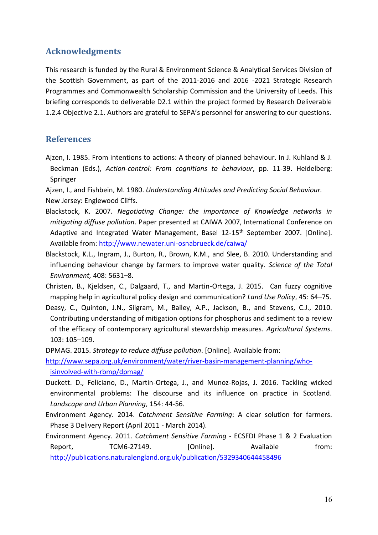# <span id="page-15-0"></span>**Acknowledgments**

This research is funded by the Rural & Environment Science & Analytical Services Division of the Scottish Government, as part of the 2011-2016 and 2016 -2021 Strategic Research Programmes and Commonwealth Scholarship Commission and the University of Leeds. This briefing corresponds to deliverable D2.1 within the project formed by Research Deliverable 1.2.4 Objective 2.1. Authors are grateful to SEPA's personnel for answering to our questions.

# <span id="page-15-1"></span>**References**

- Ajzen, I. 1985. From intentions to actions: A theory of planned behaviour. In J. Kuhland & J. Beckman (Eds.), *Action-control: From cognitions to behaviour*, pp. 11-39. Heidelberg: Springer
- Ajzen, I., and Fishbein, M. 1980. *Understanding Attitudes and Predicting Social Behaviour.* New Jersey: Englewood Cliffs.
- Blackstock, K. 2007. *Negotiating Change: the importance of Knowledge networks in mitigating diffuse pollution*. Paper presented at CAIWA 2007, International Conference on Adaptive and Integrated Water Management, Basel 12-15<sup>th</sup> September 2007. [Online]. Available from: http://www.newater.uni-osnabrueck.de/caiwa/
- Blackstock, K.L., Ingram, J., Burton, R., Brown, K.M., and Slee, B. 2010. Understanding and influencing behaviour change by farmers to improve water quality. *Science of the Total Environment,* 408: 5631–8.
- Christen, B., Kjeldsen, C., Dalgaard, T., and Martin-Ortega, J. 2015. Can fuzzy cognitive mapping help in agricultural policy design and communication? *Land Use Policy*, 45: 64–75.
- Deasy, C., Quinton, J.N., Silgram, M., Bailey, A.P., Jackson, B., and Stevens, C.J., 2010. Contributing understanding of mitigation options for phosphorus and sediment to a review of the efficacy of contemporary agricultural stewardship measures. *Agricultural Systems*. 103: 105–109.
- DPMAG. 2015. *Strategy to reduce diffuse pollution*. [Online]. Available from:

[http://www.sepa.org.uk/environment/water/river-basin-management-planning/who](http://www.sepa.org.uk/environment/water/river-basin-management-planning/who-isinvolved-with-rbmp/dpmag/)[isinvolved-with-rbmp/dpmag/](http://www.sepa.org.uk/environment/water/river-basin-management-planning/who-isinvolved-with-rbmp/dpmag/)

- Duckett. D., Feliciano, D., Martin-Ortega, J., and Munoz-Rojas, J. 2016. Tackling wicked environmental problems: The discourse and its influence on practice in Scotland. *Landscape and Urban Planning*, 154: 44-56.
- Environment Agency. 2014. *Catchment Sensitive Farming*: A clear solution for farmers. Phase 3 Delivery Report (April 2011 - March 2014).
- Environment Agency. 2011. *Catchment Sensitive Farming* ECSFDI Phase 1 & 2 Evaluation Report, TCM6-27149. [Online]. Available from: <http://publications.naturalengland.org.uk/publication/5329340644458496>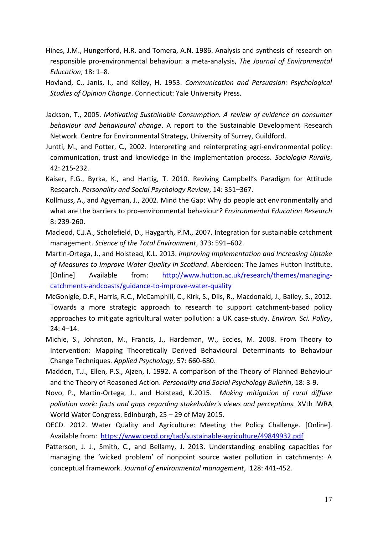- Hines, J.M., Hungerford, H.R. and Tomera, A.N. 1986. Analysis and synthesis of research on responsible pro-environmental behaviour: a meta-analysis, *The Journal of Environmental Education*, 18: 1–8.
- Hovland, C., Janis, I., and Kelley, H. 1953. *Communication and Persuasion: Psychological Studies of Opinion Change*. Connecticut: Yale University Press.
- Jackson, T., 2005. *Motivating Sustainable Consumption. A review of evidence on consumer behaviour and behavioural change*. A report to the Sustainable Development Research Network. Centre for Environmental Strategy, University of Surrey, Guildford.
- Juntti, M., and Potter, C., 2002. Interpreting and reinterpreting agri-environmental policy: communication, trust and knowledge in the implementation process. *Sociologia Ruralis*, 42: 215-232.
- Kaiser, F.G., Byrka, K., and Hartig, T. 2010. Reviving Campbell's Paradigm for Attitude Research. *Personality and Social Psychology Review*, 14: 351–367.
- Kollmuss, A., and Agyeman, J., 2002. Mind the Gap: Why do people act environmentally and what are the barriers to pro-environmental behaviour*? Environmental Education Research* 8: 239-260.
- Macleod, C.J.A., Scholefield, D., Haygarth, P.M., 2007. Integration for sustainable catchment management. *Science of the Total Environment*, 373: 591–602.
- Martin-Ortega, J., and Holstead, K.L. 2013. *Improving Implementation and Increasing Uptake of Measures to Improve Water Quality in Scotland*. Aberdeen: The James Hutton Institute. [Online] Available from: http://www.hutton.ac.uk/research/themes/managing catchments-andcoasts/guidance-to-improve-water-quality
- McGonigle, D.F., Harris, R.C., McCamphill, C., Kirk, S., Dils, R., Macdonald, J., Bailey, S., 2012. Towards a more strategic approach to research to support catchment-based policy approaches to mitigate agricultural water pollution: a UK case-study. *Environ. Sci. Policy*, 24: 4–14.
- Michie, S., Johnston, M., Francis, J., Hardeman, W., Eccles, M. 2008. From Theory to Intervention: Mapping Theoretically Derived Behavioural Determinants to Behaviour Change Techniques. *Applied Psychology*, 57: 660-680.
- Madden, T.J., Ellen, P.S., Ajzen, I. 1992. A comparison of the Theory of Planned Behaviour and the Theory of Reasoned Action. *Personality and Social Psychology Bulletin*, 18: 3-9.
- Novo, P., Martin-Ortega, J., and Holstead, K.2015. *Making mitigation of rural diffuse pollution work: facts and gaps regarding stakeholder's views and perceptions.* XVth IWRA World Water Congress. Edinburgh, 25 – 29 of May 2015.
- OECD. 2012. Water Quality and Agriculture: Meeting the Policy Challenge. [Online]. Available from: <https://www.oecd.org/tad/sustainable-agriculture/49849932.pdf>
- Patterson, J. J., Smith, C., and Bellamy, J. 2013. Understanding enabling capacities for managing the 'wicked problem' of nonpoint source water pollution in catchments: A conceptual framework. *Journal of environmental management*, 128: 441-452.